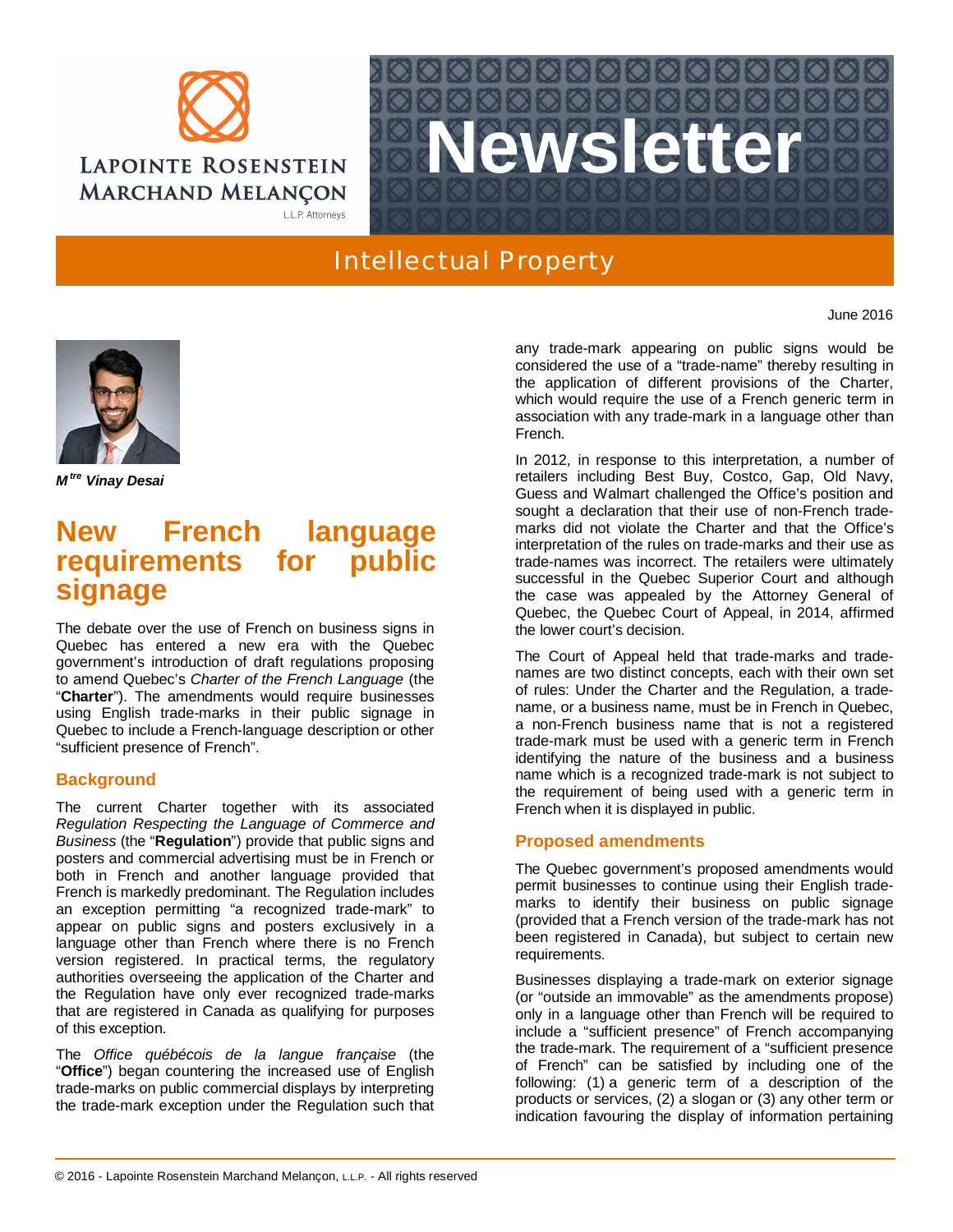



## Intellectual Property

*M* **Vinay Desai** 

## **New French language requirements for public signage**

The debate over the use of French on business signs in Quebec has entered a new era with the Quebec government's introduction of draft regulations proposing to amend Quebec's *Charter of the French Language* (the "**Charter**"). The amendments would require businesses using English trade-marks in their public signage in Quebec to include a French-language description or other "sufficient presence of French".

## **Background**

The current Charter together with its associated *Regulation Respecting the Language of Commerce and Business* (the "**Regulation**") provide that public signs and posters and commercial advertising must be in French or both in French and another language provided that French is markedly predominant. The Regulation includes an exception permitting "a recognized trade-mark" to appear on public signs and posters exclusively in a language other than French where there is no French version registered. In practical terms, the regulatory authorities overseeing the application of the Charter and the Regulation have only ever recognized trade-marks that are registered in Canada as qualifying for purposes of this exception.

The *Office québécois de la langue française* (the "**Office**") began countering the increased use of English trade-marks on public commercial displays by interpreting the trade-mark exception under the Regulation such that any trade-mark appearing on public signs would be considered the use of a "trade-name" thereby resulting in the application of different provisions of the Charter, which would require the use of a French generic term in association with any trade-mark in a language other than French.

In 2012, in response to this interpretation, a number of retailers including Best Buy, Costco, Gap, Old Navy, Guess and Walmart challenged the Office's position and sought a declaration that their use of non-French trademarks did not violate the Charter and that the Office's interpretation of the rules on trade-marks and their use as trade-names was incorrect. The retailers were ultimately successful in the Quebec Superior Court and although the case was appealed by the Attorney General of Quebec, the Quebec Court of Appeal, in 2014, affirmed the lower court's decision.

The Court of Appeal held that trade-marks and tradenames are two distinct concepts, each with their own set of rules: Under the Charter and the Regulation, a tradename, or a business name, must be in French in Quebec, a non-French business name that is not a registered trade-mark must be used with a generic term in French identifying the nature of the business and a business name which is a recognized trade-mark is not subject to the requirement of being used with a generic term in French when it is displayed in public.

## **Proposed amendments**

The Quebec government's proposed amendments would permit businesses to continue using their English trademarks to identify their business on public signage (provided that a French version of the trade-mark has not been registered in Canada), but subject to certain new requirements.

Businesses displaying a trade-mark on exterior signage (or "outside an immovable" as the amendments propose) only in a language other than French will be required to include a "sufficient presence" of French accompanying the trade-mark. The requirement of a "sufficient presence of French" can be satisfied by including one of the following: (1) a generic term of a description of the products or services, (2) a slogan or (3) any other term or indication favouring the display of information pertaining

June 2016